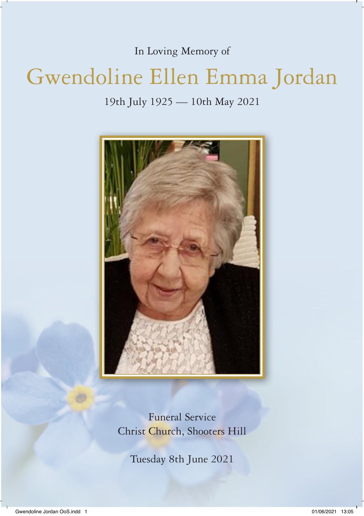In Loving Memory of

# Gwendoline Ellen Emma Jordan

19th July 1925 — 10th May 2021



Funeral Service Christ Church, Shooters Hill

Tuesday 8th June 2021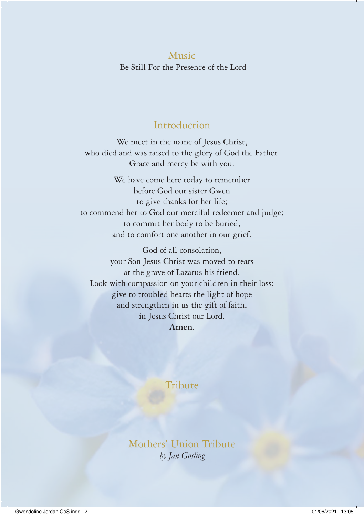Music Be Still For the Presence of the Lord

# Introduction

We meet in the name of Jesus Christ, who died and was raised to the glory of God the Father. Grace and mercy be with you.

We have come here today to remember before God our sister Gwen to give thanks for her life; to commend her to God our merciful redeemer and judge; to commit her body to be buried, and to comfort one another in our grief.

God of all consolation, your Son Jesus Christ was moved to tears at the grave of Lazarus his friend. Look with compassion on your children in their loss; give to troubled hearts the light of hope and strengthen in us the gift of faith, in Jesus Christ our Lord. **Amen.** 

# **Tribute**

Mothers' Union Tribute *by Jan Gosling*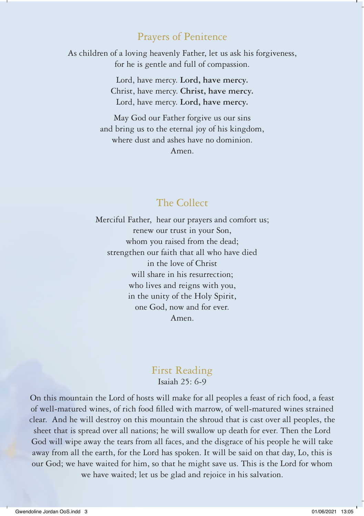# Prayers of Penitence

As children of a loving heavenly Father, let us ask his forgiveness, for he is gentle and full of compassion.

> Lord, have mercy. **Lord, have mercy.**  Christ, have mercy. **Christ, have mercy.**  Lord, have mercy. **Lord, have mercy.**

May God our Father forgive us our sins and bring us to the eternal joy of his kingdom, where dust and ashes have no dominion. Amen.

# The Collect

Merciful Father, hear our prayers and comfort us; renew our trust in your Son, whom you raised from the dead; strengthen our faith that all who have died in the love of Christ will share in his resurrection: who lives and reigns with you, in the unity of the Holy Spirit, one God, now and for ever. Amen.

## First Reading

Isaiah 25: 6-9

On this mountain the Lord of hosts will make for all peoples a feast of rich food, a feast of well-matured wines, of rich food filled with marrow, of well-matured wines strained clear. And he will destroy on this mountain the shroud that is cast over all peoples, the sheet that is spread over all nations; he will swallow up death for ever. Then the Lord God will wipe away the tears from all faces, and the disgrace of his people he will take away from all the earth, for the Lord has spoken. It will be said on that day, Lo, this is our God; we have waited for him, so that he might save us. This is the Lord for whom we have waited; let us be glad and rejoice in his salvation.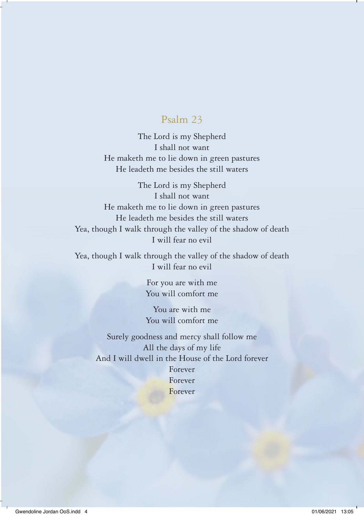# Psalm 23

The Lord is my Shepherd I shall not want He maketh me to lie down in green pastures He leadeth me besides the still waters

The Lord is my Shepherd I shall not want He maketh me to lie down in green pastures He leadeth me besides the still waters Yea, though I walk through the valley of the shadow of death I will fear no evil

Yea, though I walk through the valley of the shadow of death I will fear no evil

> For you are with me You will comfort me

> You are with me You will comfort me

Surely goodness and mercy shall follow me All the days of my life And I will dwell in the House of the Lord forever Forever Forever Forever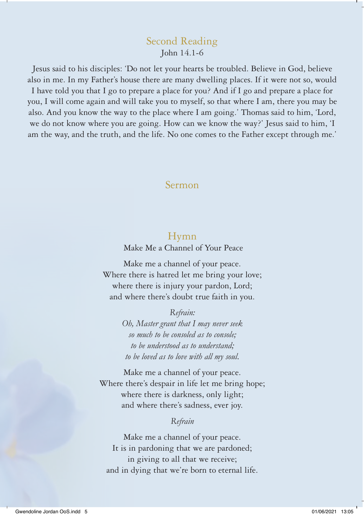## Second Reading John 14.1-6

Jesus said to his disciples: 'Do not let your hearts be troubled. Believe in God, believe also in me. In my Father's house there are many dwelling places. If it were not so, would

I have told you that I go to prepare a place for you? And if I go and prepare a place for you, I will come again and will take you to myself, so that where I am, there you may be also. And you know the way to the place where I am going.' Thomas said to him, 'Lord, we do not know where you are going. How can we know the way?' Jesus said to him, 'I am the way, and the truth, and the life. No one comes to the Father except through me.'

## Sermon

### Hymn

Make Me a Channel of Your Peace

Make me a channel of your peace. Where there is hatred let me bring your love; where there is injury your pardon, Lord; and where there's doubt true faith in you.

#### *Refrain:*

*Oh, Master grant that I may never seek so much to be consoled as to console; to be understood as to understand; to be loved as to love with all my soul.*

Make me a channel of your peace. Where there's despair in life let me bring hope; where there is darkness, only light; and where there's sadness, ever joy.

#### *Refrain*

Make me a channel of your peace. It is in pardoning that we are pardoned; in giving to all that we receive; and in dying that we're born to eternal life.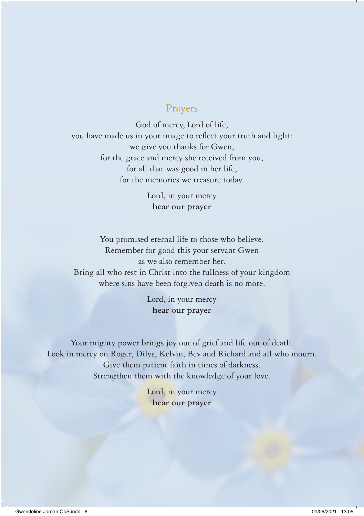## Prayers

God of mercy, Lord of life, you have made us in your image to reflect your truth and light: we give you thanks for Gwen, for the grace and mercy she received from you, for all that was good in her life, for the memories we treasure today.

> Lord, in your mercy **hear our prayer**

You promised eternal life to those who believe. Remember for good this your servant Gwen as we also remember her. Bring all who rest in Christ into the fullness of your kingdom where sins have been forgiven death is no more.

> Lord, in your mercy **hear our prayer**

Your mighty power brings joy out of grief and life out of death. Look in mercy on Roger, Dilys, Kelvin, Bev and Richard and all who mourn. Give them patient faith in times of darkness. Strengthen them with the knowledge of your love.

> Lord, in your mercy **hear our prayer**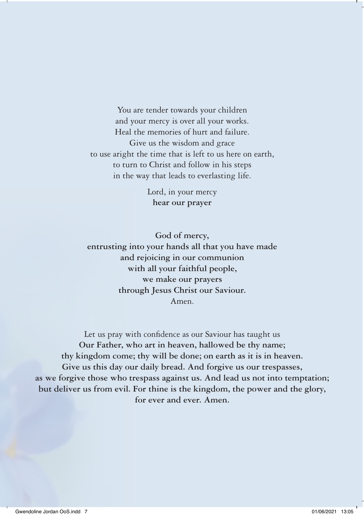You are tender towards your children and your mercy is over all your works. Heal the memories of hurt and failure. Give us the wisdom and grace to use aright the time that is left to us here on earth, to turn to Christ and follow in his steps in the way that leads to everlasting life.

> Lord, in your mercy **hear our prayer**

**God of mercy, entrusting into your hands all that you have made and rejoicing in our communion with all your faithful people, we make our prayers through Jesus Christ our Saviour.**  Amen.

Let us pray with confidence as our Saviour has taught us **Our Father, who art in heaven, hallowed be thy name; thy kingdom come; thy will be done; on earth as it is in heaven. Give us this day our daily bread. And forgive us our trespasses, as we forgive those who trespass against us. And lead us not into temptation; but deliver us from evil. For thine is the kingdom, the power and the glory, for ever and ever. Amen.**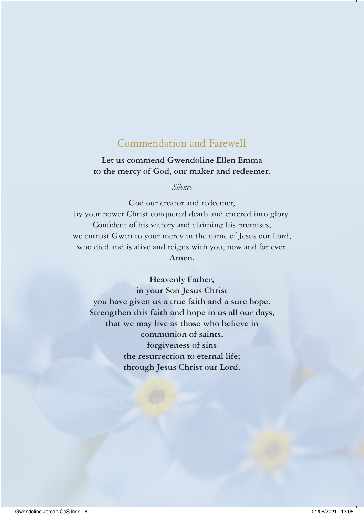# Commendation and Farewell

## **Let us commend Gwendoline Ellen Emma to the mercy of God, our maker and redeemer.**

*Silence* 

God our creator and redeemer, by your power Christ conquered death and entered into glory. Confident of his victory and claiming his promises, we entrust Gwen to your mercy in the name of Jesus our Lord, who died and is alive and reigns with you, now and for ever. **Amen.** 

**Heavenly Father,**

**in your Son Jesus Christ you have given us a true faith and a sure hope. Strengthen this faith and hope in us all our days, that we may live as those who believe in communion of saints, forgiveness of sins the resurrection to eternal life; through Jesus Christ our Lord.**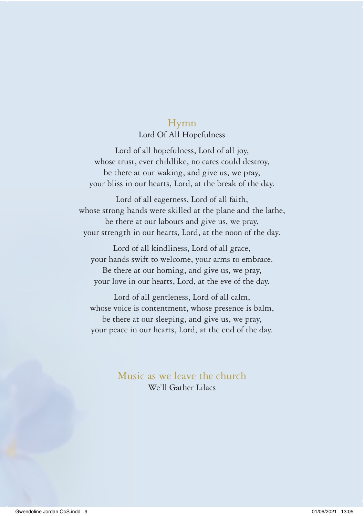# Hymn

#### Lord Of All Hopefulness

Lord of all hopefulness, Lord of all joy, whose trust, ever childlike, no cares could destroy, be there at our waking, and give us, we pray, your bliss in our hearts, Lord, at the break of the day.

Lord of all eagerness, Lord of all faith, whose strong hands were skilled at the plane and the lathe, be there at our labours and give us, we pray, your strength in our hearts, Lord, at the noon of the day.

Lord of all kindliness, Lord of all grace, your hands swift to welcome, your arms to embrace. Be there at our homing, and give us, we pray, your love in our hearts, Lord, at the eve of the day.

Lord of all gentleness, Lord of all calm, whose voice is contentment, whose presence is balm, be there at our sleeping, and give us, we pray, your peace in our hearts, Lord, at the end of the day.

> Music as we leave the church We'll Gather Lilacs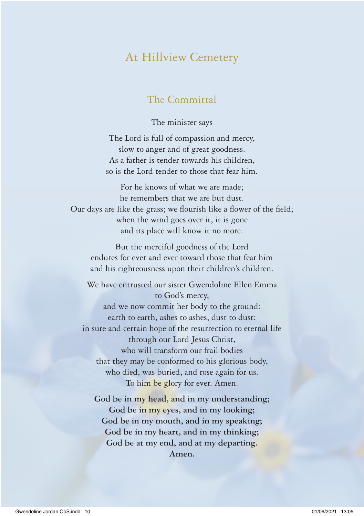# At Hillview Cemetery

# The Committal

The minister says

The Lord is full of compassion and mercy, slow to anger and of great goodness. As a father is tender towards his children, so is the Lord tender to those that fear him.

For he knows of what we are made; he remembers that we are but dust. Our days are like the grass; we flourish like a flower of the field; when the wind goes over it, it is gone and its place will know it no more.

But the merciful goodness of the Lord endures for ever and ever toward those that fear him and his righteousness upon their children's children.

We have entrusted our sister Gwendoline Ellen Emma to God's mercy, and we now commit her body to the ground: earth to earth, ashes to ashes, dust to dust: in sure and certain hope of the resurrection to eternal life through our Lord Jesus Christ, who will transform our frail bodies that they may be conformed to his glorious body, who died, was buried, and rose again for us. To him be glory for ever. Amen.

**God be in my head, and in my understanding; God be in my eyes, and in my looking; God be in my mouth, and in my speaking; God be in my heart, and in my thinking; God be at my end, and at my departing. Amen.**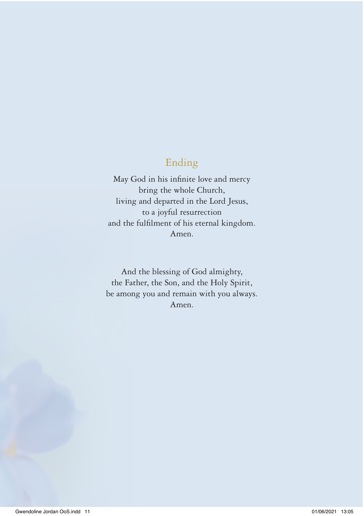# Ending

May God in his infinite love and mercy bring the whole Church, living and departed in the Lord Jesus, to a joyful resurrection and the fulfilment of his eternal kingdom. Amen.

And the blessing of God almighty, the Father, the Son, and the Holy Spirit, be among you and remain with you always. Amen.